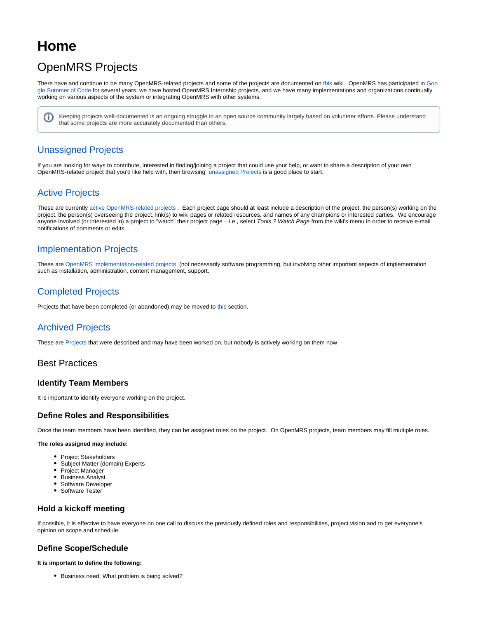# **Home**

# OpenMRS Projects

There have and continue to be many OpenMRS-related projects and some of the projects are documented on [this](https://wiki.openmrs.org/display/projects/Available+Development+Projects) wiki. OpenMRS has participated in [Goo](https://summerofcode.withgoogle.com/) [gle Summer of Code](https://summerofcode.withgoogle.com/) for several years, we have hosted OpenMRS Internship projects, and we have many implementations and organizations continually working on various aspects of the system or integrating OpenMRS with other systems.

Keeping projects well-documented is an ongoing struggle in an open source community largely based on volunteer efforts. Please understand ⋒ that some projects are more accurately documented than others.

# [Unassigned Projects](https://wiki.openmrs.org/display/projects/Available+Development+Projects)

If you are looking for ways to contribute, interested in finding/joining a project that could use your help, or want to share a description of your own OpenMRS-related project that you'd like help with, then browsing [unassigned Projects](https://wiki.openmrs.org/display/projects/Available+Development+Projects) is a good place to start.

# [Active Projects](https://wiki.openmrs.org/display/projects/Active+Projects)

These are currently [active OpenMRS-related projects](https://wiki.openmrs.org/display/projects/Development+Projects). Each project page should at least include a description of the project, the person(s) working on the project, the person(s) overseeing the project, link(s) to wiki pages or related resources, and names of any champions or interested parties. We encourage anyone involved (or interested in) a project to "watch" their project page - i.e., select Tools ? Watch Page from the wiki's menu in order to receive e-mail notifications of comments or edits.

# [Implementation Projects](https://wiki.openmrs.org/display/projects/Implementation+Projects)

These are [OpenMRS implementation-related projects](https://wiki.openmrs.org/display/projects/Implementation+Projects) (not necessarily software programming, but involving other important aspects of implementation such as installation, administration, content management, support.

# [Completed Projects](https://wiki.openmrs.org/display/projects/Completed+Projects)

Projects that have been completed (or abandoned) may be moved t[o this](https://wiki.openmrs.org/display/projects/Completed+Projects) section.

# [Archived Projects](https://wiki.openmrs.org/display/projects/Archived+Projects)

These are [Projects](https://wiki.openmrs.org/display/projects/Archived+Projects) that were described and may have been worked on, but nobody is actively working on them now.

## Best Practices

### **Identify Team Members**

It is important to identify everyone working on the project.

### **Define Roles and Responsibilities**

Once the team members have been identified, they can be assigned roles on the project. On OpenMRS projects, team members may fill multiple roles.

#### **The roles assigned may include:**

- Project Stakeholders
- Subject Matter (domain) Experts
- Project Manager
- Business Analyst
- Software Developer
- Software Tester

## **Hold a kickoff meeting**

If possible, it is effective to have everyone on one call to discuss the previously defined roles and responsibilities, project vision and to get everyone's opinion on scope and schedule.

## **Define Scope/Schedule**

#### **It is important to define the following:**

**•** Business need: What problem is being solved?